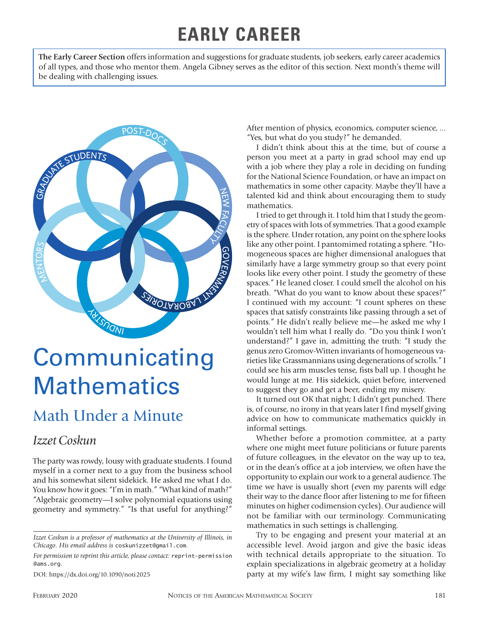## **EARLY CAREER**

**The Early Career Section** offers information and suggestions for graduate students, job seekers, early career academics of all types, and those who mentor them. Angela Gibney serves as the editor of this section. Next month's theme will be dealing with challenging issues.



# **Communicating Mathematics**

## Math Under a Minute

#### *Izzet Coskun*

The party was rowdy, lousy with graduate students. I found myself in a corner next to a guy from the business school and his somewhat silent sidekick. He asked me what I do. You know how it goes: "I'm in math." "What kind of math?" "Algebraic geometry—I solve polynomial equations using geometry and symmetry." "Is that useful for anything?"

DOI: https://dx.doi.org/10.1090/noti2025

After mention of physics, economics, computer science, ... "Yes, but what do you study?" he demanded.

I didn't think about this at the time, but of course a person you meet at a party in grad school may end up with a job where they play a role in deciding on funding for the National Science Foundation, or have an impact on mathematics in some other capacity. Maybe they'll have a talented kid and think about encouraging them to study mathematics.

I tried to get through it. I told him that I study the geometry of spaces with lots of symmetries. That a good example is the sphere. Under rotation, any point on the sphere looks like any other point. I pantomimed rotating a sphere. "Homogeneous spaces are higher dimensional analogues that similarly have a large symmetry group so that every point looks like every other point. I study the geometry of these spaces." He leaned closer. I could smell the alcohol on his breath. "What do you want to know about these spaces?" I continued with my account: "I count spheres on these spaces that satisfy constraints like passing through a set of points." He didn't really believe me—he asked me why I wouldn't tell him what I really do. "Do you think I won't understand?" I gave in, admitting the truth: "I study the genus zero Gromov-Witten invariants of homogeneous varieties like Grassmannians using degenerations of scrolls." I could see his arm muscles tense, fists ball up. I thought he would lunge at me. His sidekick, quiet before, intervened to suggest they go and get a beer, ending my misery.

It turned out OK that night; I didn't get punched. There is, of course, no irony in that years later I find myself giving advice on how to communicate mathematics quickly in informal settings.

Whether before a promotion committee, at a party where one might meet future politicians or future parents of future colleagues, in the elevator on the way up to tea, or in the dean's office at a job interview, we often have the opportunity to explain our work to a general audience. The time we have is usually short (even my parents will edge their way to the dance floor after listening to me for fifteen minutes on higher codimension cycles). Our audience will not be familiar with our terminology. Communicating mathematics in such settings is challenging.

Try to be engaging and present your material at an accessible level. Avoid jargon and give the basic ideas with technical details appropriate to the situation. To explain specializations in algebraic geometry at a holiday party at my wife's law firm, I might say something like

*Izzet Coskun is a professor of mathematics at the University of Illinois, in Chicago. His email address is* coskunizzet@gmail.com*.*

*For permission to reprint this article, please contact:* reprint-permission @ams.org.